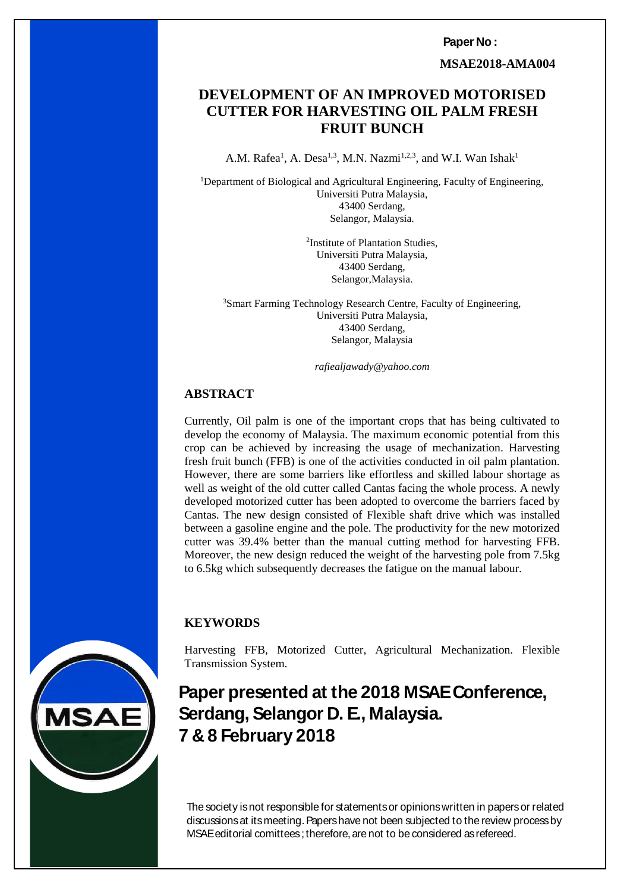**Paper No :** 

 **MSAE2018-AMA004**

#### **DEVELOPMENT OF AN IMPROVED MOTORISED HARVEST IN THE SET OF A PART OF A PART OF A PART OF A PART OF A PART OF A PART OF A PART OF A PART OF A PART OF A PART OF A PART OF A PART OF A PART OF A PART OF A PART OF A PART OF A PART OF A PART OF A PART OF A PART OF DEVELOPMENT OF AN IMPROVED MOTORISED CUTTER FOR HARVESTING OIL PALM FRESH FRUIT BUNCH**

A.M. Rafea<sup>1</sup>, A. Desa<sup>1,3</sup>, M.N. Nazmi<sup>1,2,3</sup>, and W.I. Wan Ishak<sup>1</sup>

<sup>1</sup>Department of Biological and Agricultural Engineering, Faculty of Engineering, Universiti Putra Malaysia, 43400 Serdang, Selangor, Malaysia.

> 2 Institute of Plantation Studies, Universiti Putra Malaysia, 43400 Serdang, Selangor,Malaysia.

<sup>3</sup>Smart Farming Technology Research Centre, Faculty of Engineering, Universiti Putra Malaysia, 43400 Serdang, Selangor, Malaysia

*rafiealjawady@yahoo.com*

### **ABSTRACT**

Currently, Oil palm is one of the important crops that has being cultivated to develop the economy of Malaysia. The maximum economic potential from this crop can be achieved by increasing the usage of mechanization. Harvesting fresh fruit bunch (FFB) is one of the activities conducted in oil palm plantation. However, there are some barriers like effortless and skilled labour shortage as well as weight of the old cutter called Cantas facing the whole process. A newly developed motorized cutter has been adopted to overcome the barriers faced by Cantas. The new design consisted of Flexible shaft drive which was installed between a gasoline engine and the pole. The productivity for the new motorized cutter was 39.4% better than the manual cutting method for harvesting FFB. Moreover, the new design reduced the weight of the harvesting pole from 7.5kg to 6.5kg which subsequently decreases the fatigue on the manual labour.

### **KEYWORDS**

Harvesting FFB, Motorized Cutter, Agricultural Mechanization. Flexible Transmission System.

# **Paper presented at the 2018 MSAE Conference, Serdang, Selangor D. E., Malaysia. 7 & 8 February 2018**

**MSAE editorial comittees**; therefore, are not to be considered as refereed. *7 & 8 February 2018* The society is not responsible for statements or opinions written in papers or related discussions at its meeting. Papers have not been subjected to the review process by



*ISBN 978-967-16145*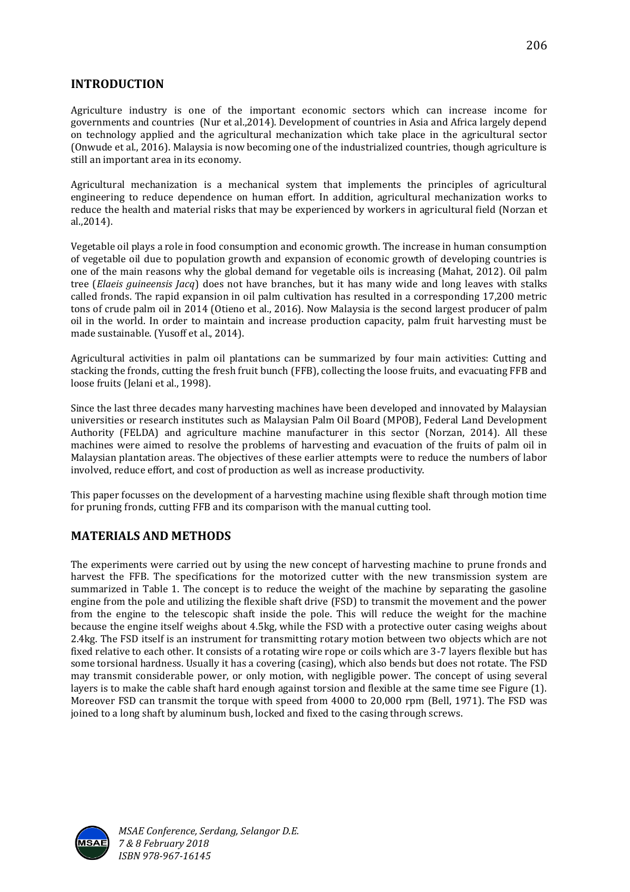## **INTRODUCTION**

Agriculture industry is one of the important economic sectors which can increase income for governments and countries (Nur et al.,2014). Development of countries in Asia and Africa largely depend on technology applied and the agricultural mechanization which take place in the agricultural sector (Onwude et al., 2016). Malaysia is now becoming one of the industrialized countries, though agriculture is still an important area in its economy.

Agricultural mechanization is a mechanical system that implements the principles of agricultural engineering to reduce dependence on human effort. In addition, agricultural mechanization works to reduce the health and material risks that may be experienced by workers in agricultural field (Norzan et al.,2014).

Vegetable oil plays a role in food consumption and economic growth. The increase in human consumption of vegetable oil due to population growth and expansion of economic growth of developing countries is one of the main reasons why the global demand for vegetable oils is increasing (Mahat, 2012). Oil palm tree (*Elaeis guineensis Jacq*) does not have branches, but it has many wide and long leaves with stalks called fronds. The rapid expansion in oil palm cultivation has resulted in a corresponding 17,200 metric tons of crude palm oil in 2014 (Otieno et al., 2016). Now Malaysia is the second largest producer of palm oil in the world. In order to maintain and increase production capacity, palm fruit harvesting must be made sustainable. (Yusoff et al., 2014).

Agricultural activities in palm oil plantations can be summarized by four main activities: Cutting and stacking the fronds, cutting the fresh fruit bunch (FFB), collecting the loose fruits, and evacuating FFB and loose fruits (Jelani et al., 1998).

Since the last three decades many harvesting machines have been developed and innovated by Malaysian universities or research institutes such as Malaysian Palm Oil Board (MPOB), Federal Land Development Authority (FELDA) and agriculture machine manufacturer in this sector (Norzan, 2014). All these machines were aimed to resolve the problems of harvesting and evacuation of the fruits of palm oil in Malaysian plantation areas. The objectives of these earlier attempts were to reduce the numbers of labor involved, reduce effort, and cost of production as well as increase productivity.

This paper focusses on the development of a harvesting machine using flexible shaft through motion time for pruning fronds, cutting FFB and its comparison with the manual cutting tool.

# **MATERIALS AND METHODS**

The experiments were carried out by using the new concept of harvesting machine to prune fronds and harvest the FFB. The specifications for the motorized cutter with the new transmission system are summarized in Table 1. The concept is to reduce the weight of the machine by separating the gasoline engine from the pole and utilizing the flexible shaft drive (FSD) to transmit the movement and the power from the engine to the telescopic shaft inside the pole. This will reduce the weight for the machine because the engine itself weighs about 4.5kg, while the FSD with a protective outer casing weighs about 2.4kg. The FSD itself is an instrument for transmitting rotary motion between two objects which are not fixed relative to each other. It consists of a rotating wire rope or coils which are 3-7 layers flexible but has some torsional hardness. Usually it has a covering (casing), which also bends but does not rotate. The FSD may transmit considerable power, or only motion, with negligible power. The concept of using several layers is to make the cable shaft hard enough against torsion and flexible at the same time see Figure (1). Moreover FSD can transmit the torque with speed from 4000 to 20,000 rpm (Bell, 1971). The FSD was joined to a long shaft by aluminum bush, locked and fixed to the casing through screws.



*MSAE Conference, Serdang, Selangor D.E. 7 & 8 February 2018 ISBN 978-967-16145*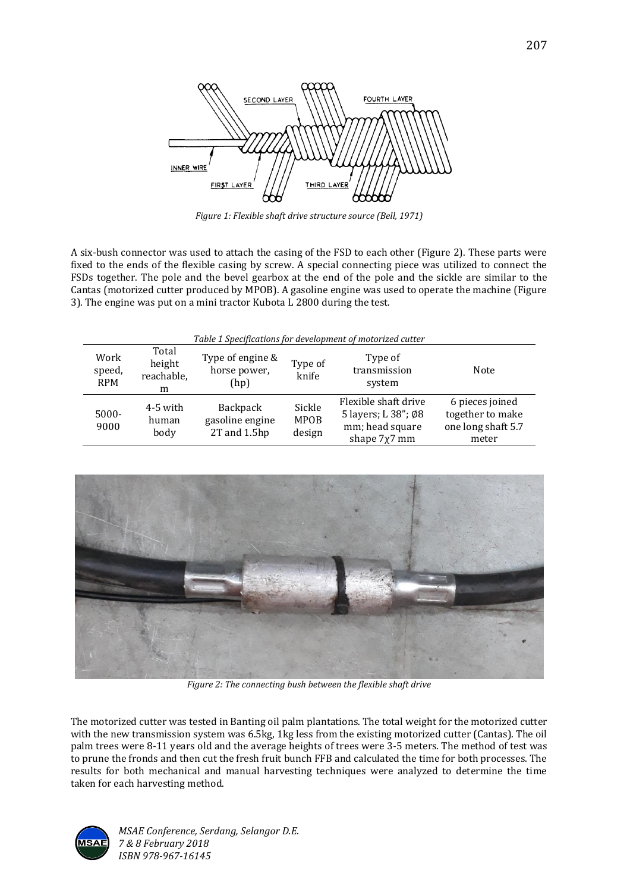

*Figure 1: Flexible shaft drive structure source (Bell, 1971)*

A six-bush connector was used to attach the casing of the FSD to each other (Figure 2). These parts were fixed to the ends of the flexible casing by screw. A special connecting piece was utilized to connect the FSDs together. The pole and the bevel gearbox at the end of the pole and the sickle are similar to the Cantas (motorized cutter produced by MPOB). A gasoline engine was used to operate the machine (Figure 3). The engine was put on a mini tractor Kubota L 2800 during the test.

| Table 1 Specifications for development of motorized cutter |  |
|------------------------------------------------------------|--|

| Work<br>speed,<br><b>RPM</b> | Total<br>height<br>reachable,<br>m | Type of engine &<br>horse power,<br>(hp)    | Type of<br>knife                | Type of<br>transmission<br>system                                                | Note                                                               |
|------------------------------|------------------------------------|---------------------------------------------|---------------------------------|----------------------------------------------------------------------------------|--------------------------------------------------------------------|
| 5000-<br>9000                | 4-5 with<br>human<br>body          | Backpack<br>gasoline engine<br>2T and 1.5hp | Sickle<br><b>MPOB</b><br>design | Flexible shaft drive<br>5 layers; L 38"; Ø8<br>mm; head square<br>shape $7x7$ mm | 6 pieces joined<br>together to make<br>one long shaft 5.7<br>meter |



*Figure 2: The connecting bush between the flexible shaft drive*

The motorized cutter was tested in Banting oil palm plantations. The total weight for the motorized cutter with the new transmission system was 6.5kg, 1kg less from the existing motorized cutter (Cantas). The oil palm trees were 8-11 years old and the average heights of trees were 3-5 meters. The method of test was to prune the fronds and then cut the fresh fruit bunch FFB and calculated the time for both processes. The results for both mechanical and manual harvesting techniques were analyzed to determine the time taken for each harvesting method.



*MSAE Conference, Serdang, Selangor D.E. 7 & 8 February 2018 ISBN 978-967-16145*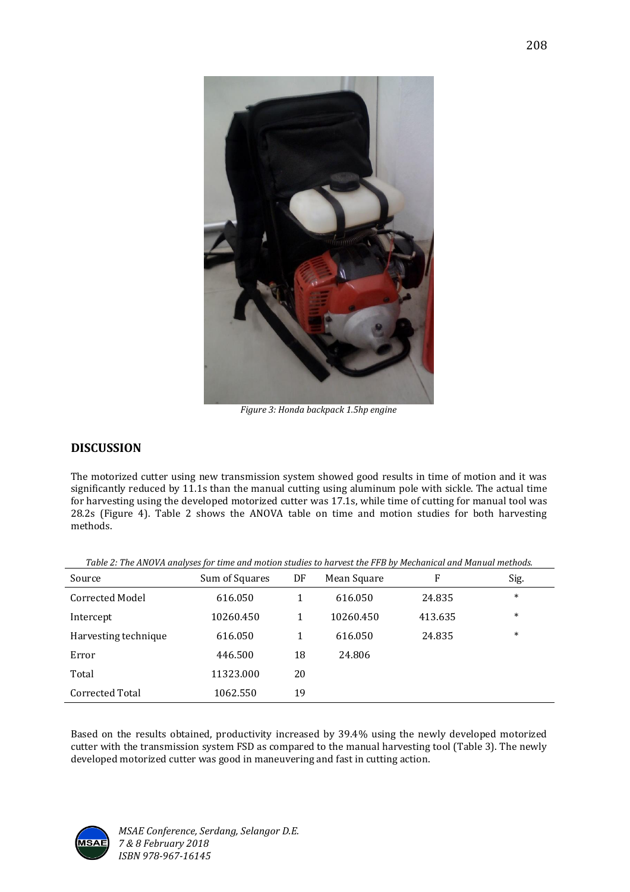

*Figure 3: Honda backpack 1.5hp engine*

### **DISCUSSION**

The motorized cutter using new transmission system showed good results in time of motion and it was significantly reduced by 11.1s than the manual cutting using aluminum pole with sickle. The actual time for harvesting using the developed motorized cutter was 17.1s, while time of cutting for manual tool was 28.2s (Figure 4). Table 2 shows the ANOVA table on time and motion studies for both harvesting methods.

| Source               | Sum of Squares | DF | Mean Square | F       | Sig.   |
|----------------------|----------------|----|-------------|---------|--------|
| Corrected Model      | 616.050        |    | 616.050     | 24.835  | $\ast$ |
| Intercept            | 10260.450      | 1  | 10260.450   | 413.635 | $\ast$ |
| Harvesting technique | 616.050        | 1  | 616.050     | 24.835  | $\ast$ |
| Error                | 446.500        | 18 | 24.806      |         |        |
| Total                | 11323.000      | 20 |             |         |        |
| Corrected Total      | 1062.550       | 19 |             |         |        |

*Table 2: The ANOVA analyses for time and motion studies to harvest the FFB by Mechanical and Manual methods.*

Based on the results obtained, productivity increased by 39.4% using the newly developed motorized cutter with the transmission system FSD as compared to the manual harvesting tool (Table 3). The newly developed motorized cutter was good in maneuvering and fast in cutting action.

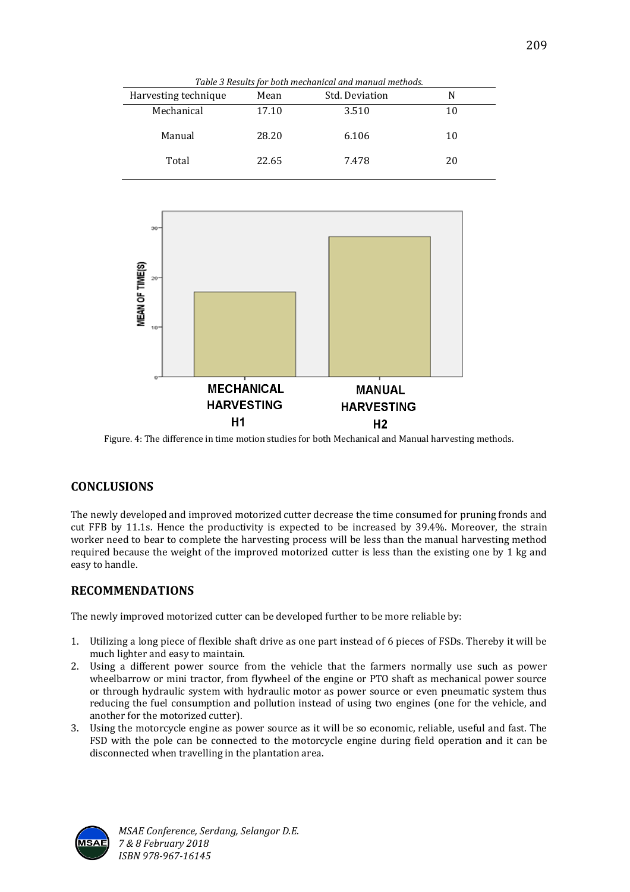| Harvesting technique | Mean  | Std. Deviation | N  |  |
|----------------------|-------|----------------|----|--|
| Mechanical           | 17.10 | 3.510          | 10 |  |
| Manual               | 28.20 | 6.106          | 10 |  |
| Total                | 22.65 | 7.478          | 20 |  |



Figure. 4: The difference in time motion studies for both Mechanical and Manual harvesting methods.

### **CONCLUSIONS**

The newly developed and improved motorized cutter decrease the time consumed for pruning fronds and cut FFB by 11.1s. Hence the productivity is expected to be increased by 39.4%. Moreover, the strain worker need to bear to complete the harvesting process will be less than the manual harvesting method required because the weight of the improved motorized cutter is less than the existing one by 1 kg and easy to handle.

# **RECOMMENDATIONS**

The newly improved motorized cutter can be developed further to be more reliable by:

- 1. Utilizing a long piece of flexible shaft drive as one part instead of 6 pieces of FSDs. Thereby it will be much lighter and easy to maintain.
- 2. Using a different power source from the vehicle that the farmers normally use such as power wheelbarrow or mini tractor, from flywheel of the engine or PTO shaft as mechanical power source or through hydraulic system with hydraulic motor as power source or even pneumatic system thus reducing the fuel consumption and pollution instead of using two engines (one for the vehicle, and another for the motorized cutter).
- 3. Using the motorcycle engine as power source as it will be so economic, reliable, useful and fast. The FSD with the pole can be connected to the motorcycle engine during field operation and it can be disconnected when travelling in the plantation area.



*MSAE Conference, Serdang, Selangor D.E. 7 & 8 February 2018 ISBN 978-967-16145*